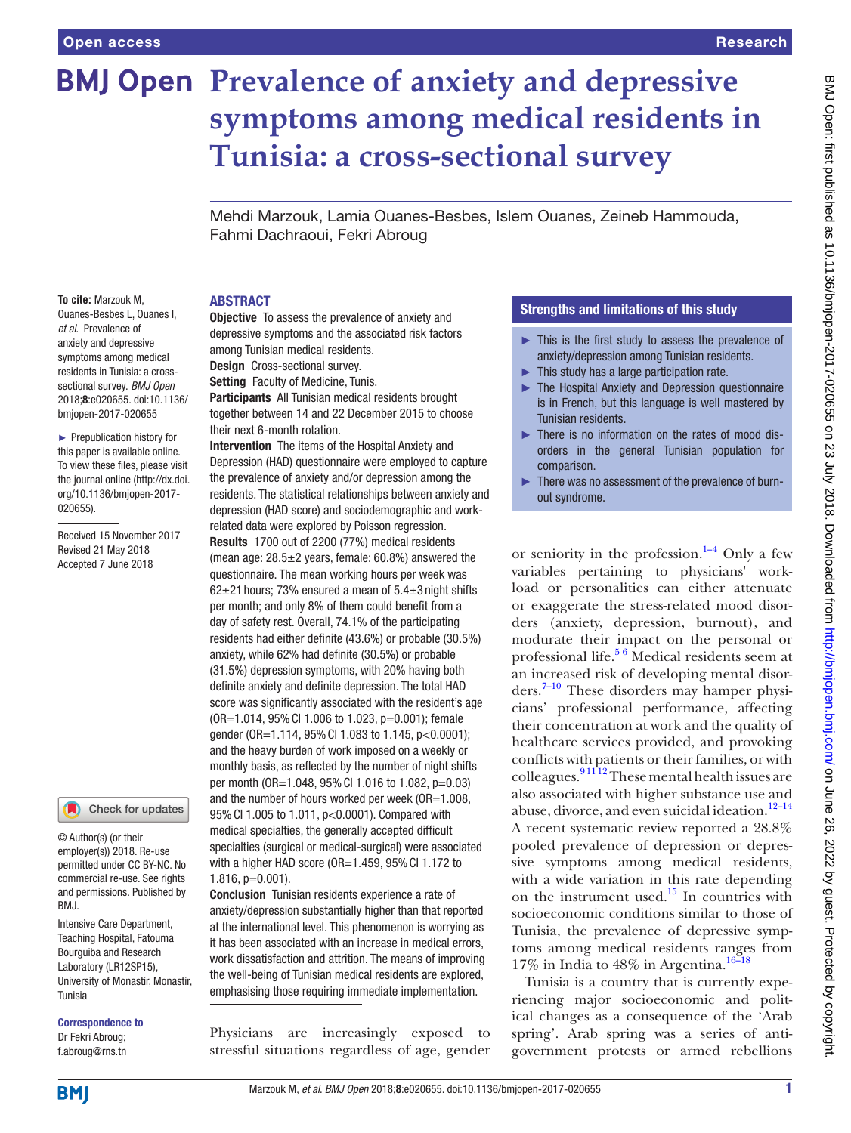# **BMJ Open Prevalence of anxiety and depressive symptoms among medical residents in Tunisia: a cross-sectional survey**

Mehdi Marzouk, Lamia Ouanes-Besbes, Islem Ouanes, Zeineb Hammouda, Fahmi Dachraoui, Fekri Abroug

#### **ABSTRACT**

**To cite:** Marzouk M, Ouanes-Besbes L, Ouanes I, *et al*. Prevalence of anxiety and depressive symptoms among medical residents in Tunisia: a crosssectional survey. *BMJ Open* 2018;8:e020655. doi:10.1136/ bmjopen-2017-020655

► Prepublication history for this paper is available online. To view these files, please visit the journal online [\(http://dx.doi.](http://dx.doi.org/10.1136/bmjopen-2017-020655) [org/10.1136/bmjopen-2017-](http://dx.doi.org/10.1136/bmjopen-2017-020655) [020655\)](http://dx.doi.org/10.1136/bmjopen-2017-020655).

Received 15 November 2017 Revised 21 May 2018 Accepted 7 June 2018

Check for updates

© Author(s) (or their employer(s)) 2018. Re-use permitted under CC BY-NC. No commercial re-use. See rights and permissions. Published by BMJ.

Intensive Care Department, Teaching Hospital, Fatouma Bourguiba and Research Laboratory (LR12SP15), University of Monastir, Monastir, Tunisia

Correspondence to Dr Fekri Abroug; f.abroug@rns.tn

**Objective** To assess the prevalence of anxiety and depressive symptoms and the associated risk factors among Tunisian medical residents. Design Cross-sectional survey. Setting Faculty of Medicine, Tunis.

Participants All Tunisian medical residents brought together between 14 and 22 December 2015 to choose their next 6-month rotation.

Intervention The items of the Hospital Anxiety and Depression (HAD) questionnaire were employed to capture the prevalence of anxiety and/or depression among the residents. The statistical relationships between anxiety and depression (HAD score) and sociodemographic and workrelated data were explored by Poisson regression. Results 1700 out of 2200 (77%) medical residents (mean age: 28.5±2 years, female: 60.8%) answered the questionnaire. The mean working hours per week was 62 $\pm$ 21 hours; 73% ensured a mean of 5.4 $\pm$ 3 night shifts per month; and only 8% of them could benefit from a day of safety rest. Overall, 74.1% of the participating residents had either definite (43.6%) or probable (30.5%) anxiety, while 62% had definite (30.5%) or probable (31.5%) depression symptoms, with 20% having both definite anxiety and definite depression. The total HAD score was significantly associated with the resident's age (OR=1.014, 95%CI 1.006 to 1.023, p=0.001); female gender (OR=1.114, 95%CI 1.083 to 1.145, p<0.0001); and the heavy burden of work imposed on a weekly or monthly basis, as reflected by the number of night shifts per month (OR=1.048, 95%CI 1.016 to 1.082, p=0.03) and the number of hours worked per week (OR=1.008, 95%CI 1.005 to 1.011, p<0.0001). Compared with medical specialties, the generally accepted difficult specialties (surgical or medical-surgical) were associated with a higher HAD score (OR=1.459, 95% CI 1.172 to 1.816, p=0.001).

Conclusion Tunisian residents experience a rate of anxiety/depression substantially higher than that reported at the international level. This phenomenon is worrying as it has been associated with an increase in medical errors, work dissatisfaction and attrition. The means of improving the well-being of Tunisian medical residents are explored, emphasising those requiring immediate implementation.

Physicians are increasingly exposed to stressful situations regardless of age, gender

## Strengths and limitations of this study

- ► This is the first study to assess the prevalence of anxiety/depression among Tunisian residents.
- $\blacktriangleright$  This study has a large participation rate.
- ► The Hospital Anxiety and Depression questionnaire is in French, but this language is well mastered by Tunisian residents.
- There is no information on the rates of mood disorders in the general Tunisian population for comparison.
- ► There was no assessment of the prevalence of burnout syndrome.

or seniority in the profession. $1-4$  Only a few variables pertaining to physicians' workload or personalities can either attenuate or exaggerate the stress-related mood disorders (anxiety, depression, burnout), and modurate their impact on the personal or professional life[.5 6](#page-6-1) Medical residents seem at an increased risk of developing mental disorders.[7–10](#page-6-2) These disorders may hamper physicians' professional performance, affecting their concentration at work and the quality of healthcare services provided, and provoking conflicts with patients or their families, or with colleagues.  $91112$  These mental health issues are also associated with higher substance use and abuse, divorce, and even suicidal ideation. $12-14$ A recent systematic review reported a 28.8% pooled prevalence of depression or depressive symptoms among medical residents, with a wide variation in this rate depending on the instrument used. $15$  In countries with socioeconomic conditions similar to those of Tunisia, the prevalence of depressive symptoms among medical residents ranges from 17% in India to  $48\%$  in Argentina.<sup>16–18</sup>

Tunisia is a country that is currently experiencing major socioeconomic and political changes as a consequence of the 'Arab spring'. Arab spring was a series of antigovernment protests or armed rebellions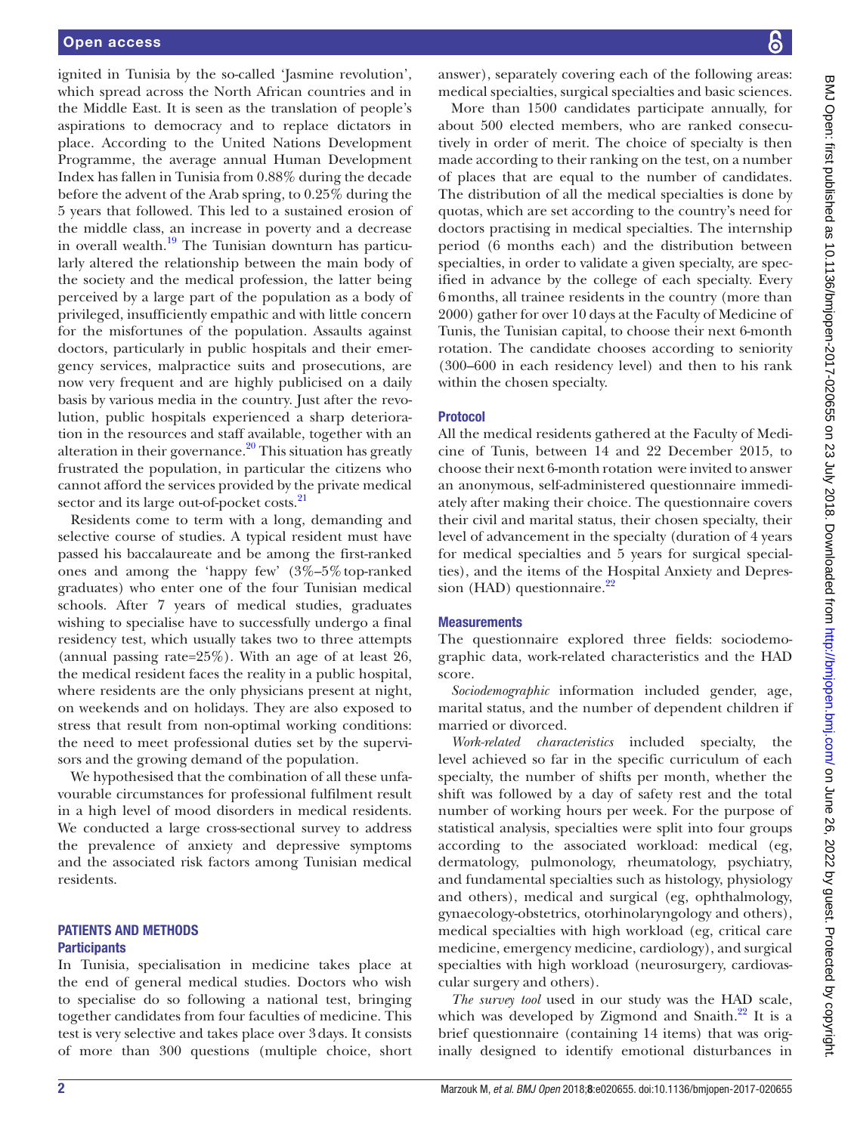ignited in Tunisia by the so-called 'Jasmine revolution', which spread across the North African countries and in the Middle East. It is seen as the translation of people's aspirations to democracy and to replace dictators in place. According to the United Nations Development Programme, the average annual Human Development Index has fallen in Tunisia from 0.88% during the decade before the advent of the Arab spring, to 0.25% during the 5 years that followed. This led to a sustained erosion of the middle class, an increase in poverty and a decrease in overall wealth. $19$  The Tunisian downturn has particularly altered the relationship between the main body of the society and the medical profession, the latter being perceived by a large part of the population as a body of privileged, insufficiently empathic and with little concern for the misfortunes of the population. Assaults against doctors, particularly in public hospitals and their emergency services, malpractice suits and prosecutions, are now very frequent and are highly publicised on a daily basis by various media in the country. Just after the revolution, public hospitals experienced a sharp deterioration in the resources and staff available, together with an alteration in their governance. $2^{\circ}$  This situation has greatly frustrated the population, in particular the citizens who cannot afford the services provided by the private medical sector and its large out-of-pocket costs.<sup>21</sup>

Residents come to term with a long, demanding and selective course of studies. A typical resident must have passed his baccalaureate and be among the first-ranked ones and among the 'happy few'  $(3\% - 5\%$  top-ranked graduates) who enter one of the four Tunisian medical schools. After 7 years of medical studies, graduates wishing to specialise have to successfully undergo a final residency test, which usually takes two to three attempts (annual passing rate=25%). With an age of at least 26, the medical resident faces the reality in a public hospital, where residents are the only physicians present at night, on weekends and on holidays. They are also exposed to stress that result from non-optimal working conditions: the need to meet professional duties set by the supervisors and the growing demand of the population.

We hypothesised that the combination of all these unfavourable circumstances for professional fulfilment result in a high level of mood disorders in medical residents. We conducted a large cross-sectional survey to address the prevalence of anxiety and depressive symptoms and the associated risk factors among Tunisian medical residents.

## Patients and methods **Participants**

In Tunisia, specialisation in medicine takes place at the end of general medical studies. Doctors who wish to specialise do so following a national test, bringing together candidates from four faculties of medicine. This test is very selective and takes place over 3days. It consists of more than 300 questions (multiple choice, short

answer), separately covering each of the following areas: medical specialties, surgical specialties and basic sciences.

More than 1500 candidates participate annually, for about 500 elected members, who are ranked consecutively in order of merit. The choice of specialty is then made according to their ranking on the test, on a number of places that are equal to the number of candidates. The distribution of all the medical specialties is done by quotas, which are set according to the country's need for doctors practising in medical specialties. The internship period (6 months each) and the distribution between specialties, in order to validate a given specialty, are specified in advance by the college of each specialty. Every 6months, all trainee residents in the country (more than 2000) gather for over 10 days at the Faculty of Medicine of Tunis, the Tunisian capital, to choose their next 6-month rotation. The candidate chooses according to seniority (300–600 in each residency level) and then to his rank within the chosen specialty.

# Protocol

All the medical residents gathered at the Faculty of Medicine of Tunis, between 14 and 22 December 2015, to choose their next 6-month rotation were invited to answer an anonymous, self-administered questionnaire immediately after making their choice. The questionnaire covers their civil and marital status, their chosen specialty, their level of advancement in the specialty (duration of 4 years for medical specialties and 5 years for surgical specialties), and the items of the Hospital Anxiety and Depression (HAD) questionnaire. $^{22}$  $^{22}$  $^{22}$ 

# **Measurements**

The questionnaire explored three fields: sociodemographic data, work-related characteristics and the HAD score.

*Sociodemographic* information included gender, age, marital status, and the number of dependent children if married or divorced.

*Work-related characteristics* included specialty, the level achieved so far in the specific curriculum of each specialty, the number of shifts per month, whether the shift was followed by a day of safety rest and the total number of working hours per week. For the purpose of statistical analysis, specialties were split into four groups according to the associated workload: medical (eg, dermatology, pulmonology, rheumatology, psychiatry, and fundamental specialties such as histology, physiology and others), medical and surgical (eg, ophthalmology, gynaecology-obstetrics, otorhinolaryngology and others), medical specialties with high workload (eg, critical care medicine, emergency medicine, cardiology), and surgical specialties with high workload (neurosurgery, cardiovascular surgery and others).

*The survey tool* used in our study was the HAD scale, which was developed by Zigmond and Snaith. $^{22}$  It is a brief questionnaire (containing 14 items) that was originally designed to identify emotional disturbances in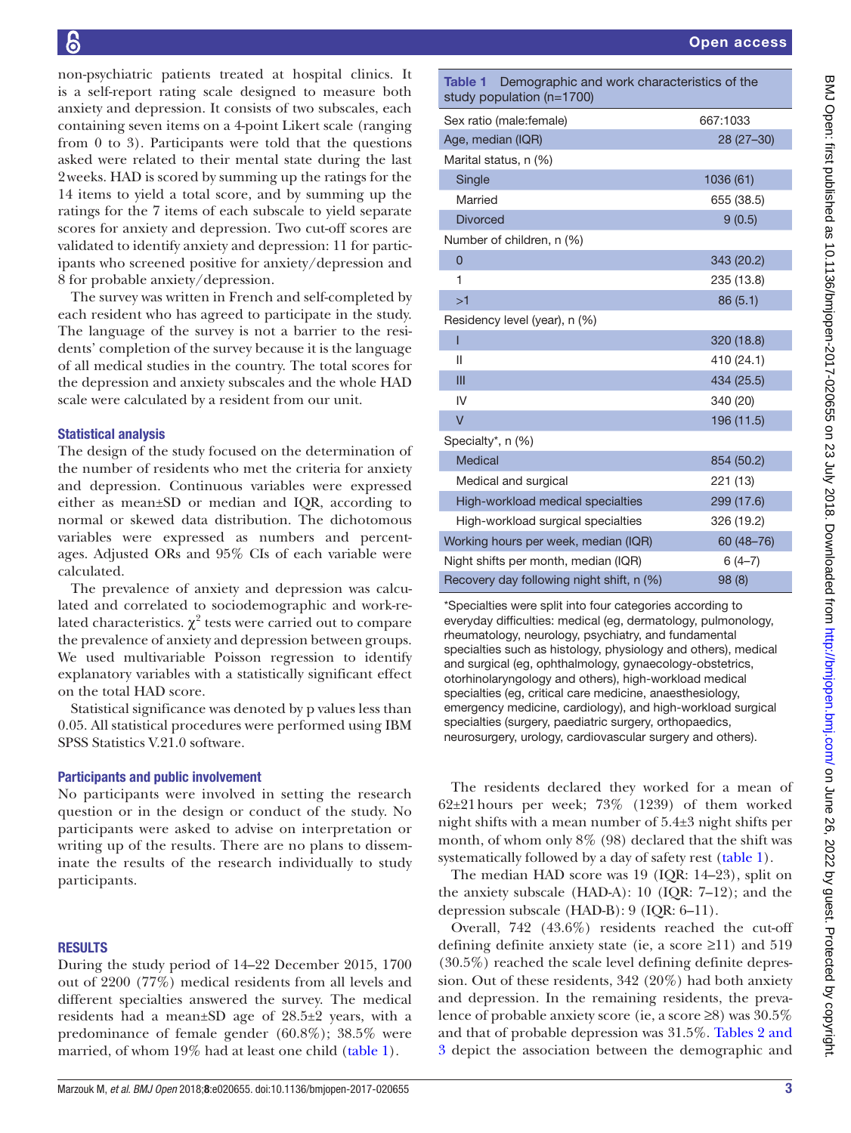non-psychiatric patients treated at hospital clinics. It is a self-report rating scale designed to measure both anxiety and depression. It consists of two subscales, each containing seven items on a 4-point Likert scale (ranging from 0 to 3). Participants were told that the questions asked were related to their mental state during the last 2weeks. HAD is scored by summing up the ratings for the 14 items to yield a total score, and by summing up the ratings for the 7 items of each subscale to yield separate scores for anxiety and depression. Two cut-off scores are validated to identify anxiety and depression: 11 for participants who screened positive for anxiety/depression and 8 for probable anxiety/depression.

The survey was written in French and self-completed by each resident who has agreed to participate in the study. The language of the survey is not a barrier to the residents' completion of the survey because it is the language of all medical studies in the country. The total scores for the depression and anxiety subscales and the whole HAD scale were calculated by a resident from our unit.

## Statistical analysis

The design of the study focused on the determination of the number of residents who met the criteria for anxiety and depression. Continuous variables were expressed either as mean±SD or median and IQR, according to normal or skewed data distribution. The dichotomous variables were expressed as numbers and percentages. Adjusted ORs and 95% CIs of each variable were calculated.

The prevalence of anxiety and depression was calculated and correlated to sociodemographic and work-related characteristics.  $\chi^2$  tests were carried out to compare the prevalence of anxiety and depression between groups. We used multivariable Poisson regression to identify explanatory variables with a statistically significant effect on the total HAD score.

Statistical significance was denoted by p values less than 0.05. All statistical procedures were performed using IBM SPSS Statistics V.21.0 software.

#### Participants and public involvement

No participants were involved in setting the research question or in the design or conduct of the study. No participants were asked to advise on interpretation or writing up of the results. There are no plans to disseminate the results of the research individually to study participants.

#### **RESULTS**

During the study period of 14–22 December 2015, 1700 out of 2200 (77%) medical residents from all levels and different specialties answered the survey. The medical residents had a mean±SD age of 28.5±2 years, with a predominance of female gender (60.8%); 38.5% were married, of whom 19% had at least one child [\(table](#page-2-0) 1).

<span id="page-2-0"></span>Table 1 Demographic and work characteristics of the study population (n=1700) Sex ratio (male:female) 667:1033 Age, median (IQR) 28 (27–30) Marital status, n (%) Single 1036 (61) Married 655 (38.5) Divorced 9 (0.5) Number of children, n (%) 0 343 (20.2) 1 235 (13.8)  $>1$  86 (5.1) Residency level (year), n (%) I 320 (18.8)  $11$  410 (24.1)  $III$  434 (25.5) IV 340 (20) V 196 (11.5) Specialty\*, n (%) Medical 854 (50.2) Medical and surgical 221 (13) High-workload medical specialties 299 (17.6) High-workload surgical specialties 326 (19.2) Working hours per week, median (IQR) 60 (48-76) Night shifts per month, median (IQR) 6 (4-7) Recovery day following night shift, n (%) 98 (8)

\*Specialties were split into four categories according to everyday difficulties: medical (eg, dermatology, pulmonology, rheumatology, neurology, psychiatry, and fundamental specialties such as histology, physiology and others), medical and surgical (eg, ophthalmology, gynaecology-obstetrics, otorhinolaryngology and others), high-workload medical specialties (eg, critical care medicine, anaesthesiology, emergency medicine, cardiology), and high-workload surgical specialties (surgery, paediatric surgery, orthopaedics, neurosurgery, urology, cardiovascular surgery and others).

The residents declared they worked for a mean of 62±21hours per week; 73% (1239) of them worked night shifts with a mean number of 5.4±3 night shifts per month, of whom only 8% (98) declared that the shift was systematically followed by a day of safety rest [\(table](#page-2-0) 1).

The median HAD score was 19 (IQR: 14–23), split on the anxiety subscale (HAD-A): 10 (IQR: 7–12); and the depression subscale (HAD-B): 9 (IQR: 6–11).

Overall, 742 (43.6%) residents reached the cut-off defining definite anxiety state (ie, a score ≥11) and 519 (30.5%) reached the scale level defining definite depression. Out of these residents, 342 (20%) had both anxiety and depression. In the remaining residents, the prevalence of probable anxiety score (ie, a score ≥8) was 30.5% and that of probable depression was 31.5%. [Tables](#page-3-0) 2 and [3](#page-3-0) depict the association between the demographic and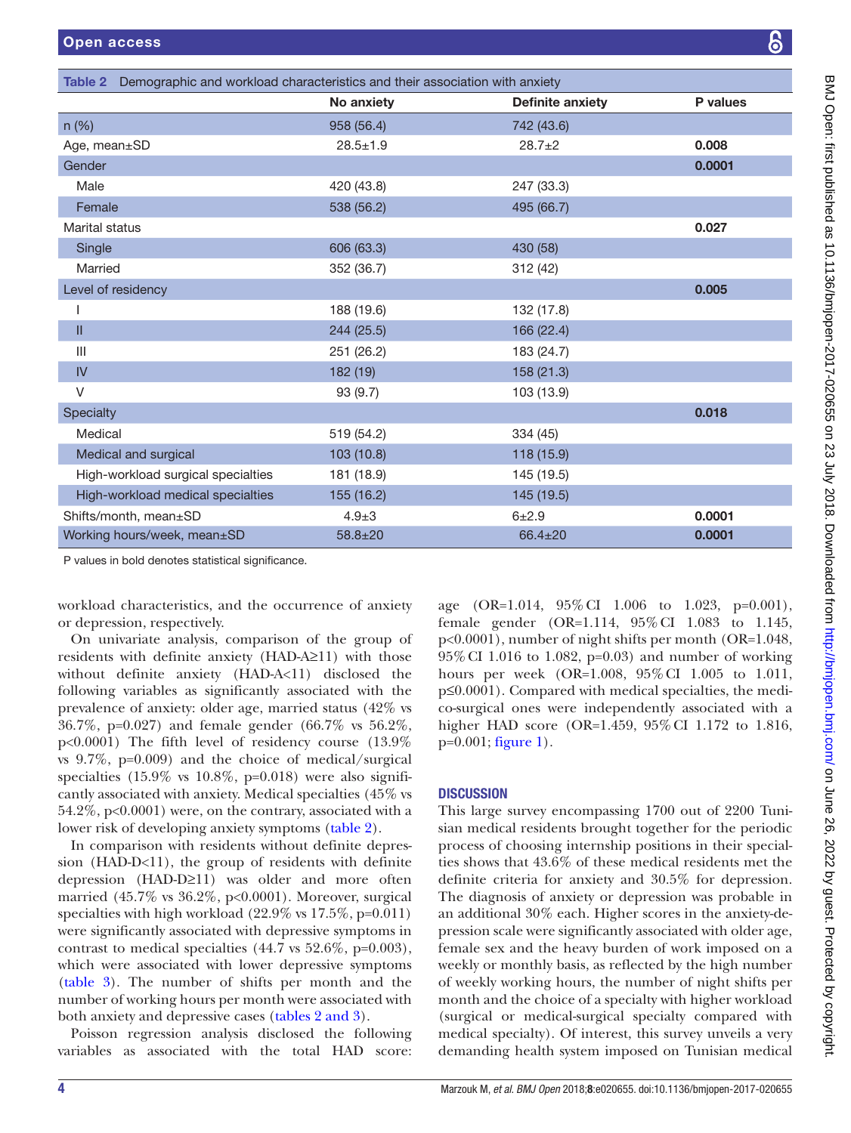<span id="page-3-0"></span>

| Demographic and workload characteristics and their association with anxiety<br>Table 2 |                |                         |          |  |
|----------------------------------------------------------------------------------------|----------------|-------------------------|----------|--|
|                                                                                        | No anxiety     | <b>Definite anxiety</b> | P values |  |
| $n$ (%)                                                                                | 958 (56.4)     | 742 (43.6)              |          |  |
| Age, mean±SD                                                                           | $28.5 \pm 1.9$ | $28.7+2$                | 0.008    |  |
| Gender                                                                                 |                |                         | 0.0001   |  |
| Male                                                                                   | 420 (43.8)     | 247 (33.3)              |          |  |
| Female                                                                                 | 538 (56.2)     | 495 (66.7)              |          |  |
| Marital status                                                                         |                |                         | 0.027    |  |
| Single                                                                                 | 606 (63.3)     | 430 (58)                |          |  |
| Married                                                                                | 352 (36.7)     | 312 (42)                |          |  |
| Level of residency                                                                     |                |                         | 0.005    |  |
|                                                                                        | 188 (19.6)     | 132 (17.8)              |          |  |
| Ш                                                                                      | 244 (25.5)     | 166 (22.4)              |          |  |
| III                                                                                    | 251 (26.2)     | 183 (24.7)              |          |  |
| IV                                                                                     | 182 (19)       | 158 (21.3)              |          |  |
| V                                                                                      | 93 (9.7)       | 103 (13.9)              |          |  |
| Specialty                                                                              |                |                         | 0.018    |  |
| Medical                                                                                | 519 (54.2)     | 334 (45)                |          |  |
| Medical and surgical                                                                   | 103(10.8)      | 118 (15.9)              |          |  |
| High-workload surgical specialties                                                     | 181 (18.9)     | 145 (19.5)              |          |  |
| High-workload medical specialties                                                      | 155 (16.2)     | 145 (19.5)              |          |  |
| Shifts/month, mean±SD                                                                  | $4.9 + 3$      | $6 + 2.9$               | 0.0001   |  |
| Working hours/week, mean±SD                                                            | $58.8 + 20$    | 66.4±20                 | 0.0001   |  |

P values in bold denotes statistical significance.

workload characteristics, and the occurrence of anxiety or depression, respectively.

On univariate analysis, comparison of the group of residents with definite anxiety (HAD-A≥11) with those without definite anxiety (HAD-A<11) disclosed the following variables as significantly associated with the prevalence of anxiety: older age, married status (42% vs 36.7%, p=0.027) and female gender (66.7% vs 56.2%, p<0.0001) The fifth level of residency course (13.9% vs 9.7%, p=0.009) and the choice of medical/surgical specialties  $(15.9\% \text{ vs } 10.8\%, \text{ p=0.018})$  were also significantly associated with anxiety. Medical specialties (45% vs 54.2%, p<0.0001) were, on the contrary, associated with a lower risk of developing anxiety symptoms [\(table](#page-3-0) 2).

In comparison with residents without definite depression (HAD-D<11), the group of residents with definite depression (HAD-D≥11) was older and more often married (45.7% vs 36.2%, p<0.0001). Moreover, surgical specialties with high workload  $(22.9\% \text{ vs } 17.5\%, \text{p=0.011})$ were significantly associated with depressive symptoms in contrast to medical specialties (44.7 vs 52.6%, p=0.003), which were associated with lower depressive symptoms ([table](#page-4-0) 3). The number of shifts per month and the number of working hours per month were associated with both anxiety and depressive cases (tables [2 and 3](#page-3-0)).

Poisson regression analysis disclosed the following variables as associated with the total HAD score:

age (OR=1.014, 95%CI 1.006 to 1.023, p=0.001), female gender (OR=1.114, 95%CI 1.083 to 1.145, p<0.0001), number of night shifts per month (OR=1.048, 95%CI 1.016 to 1.082, p=0.03) and number of working hours per week (OR=1.008, 95%CI 1.005 to 1.011, p≤0.0001). Compared with medical specialties, the medico-surgical ones were independently associated with a higher HAD score (OR=1.459, 95% CI 1.172 to 1.816,  $p=0.001$ ; [figure](#page-4-1) 1).

# **DISCUSSION**

This large survey encompassing 1700 out of 2200 Tunisian medical residents brought together for the periodic process of choosing internship positions in their specialties shows that 43.6% of these medical residents met the definite criteria for anxiety and 30.5% for depression. The diagnosis of anxiety or depression was probable in an additional 30% each. Higher scores in the anxiety-depression scale were significantly associated with older age, female sex and the heavy burden of work imposed on a weekly or monthly basis, as reflected by the high number of weekly working hours, the number of night shifts per month and the choice of a specialty with higher workload (surgical or medical-surgical specialty compared with medical specialty). Of interest, this survey unveils a very demanding health system imposed on Tunisian medical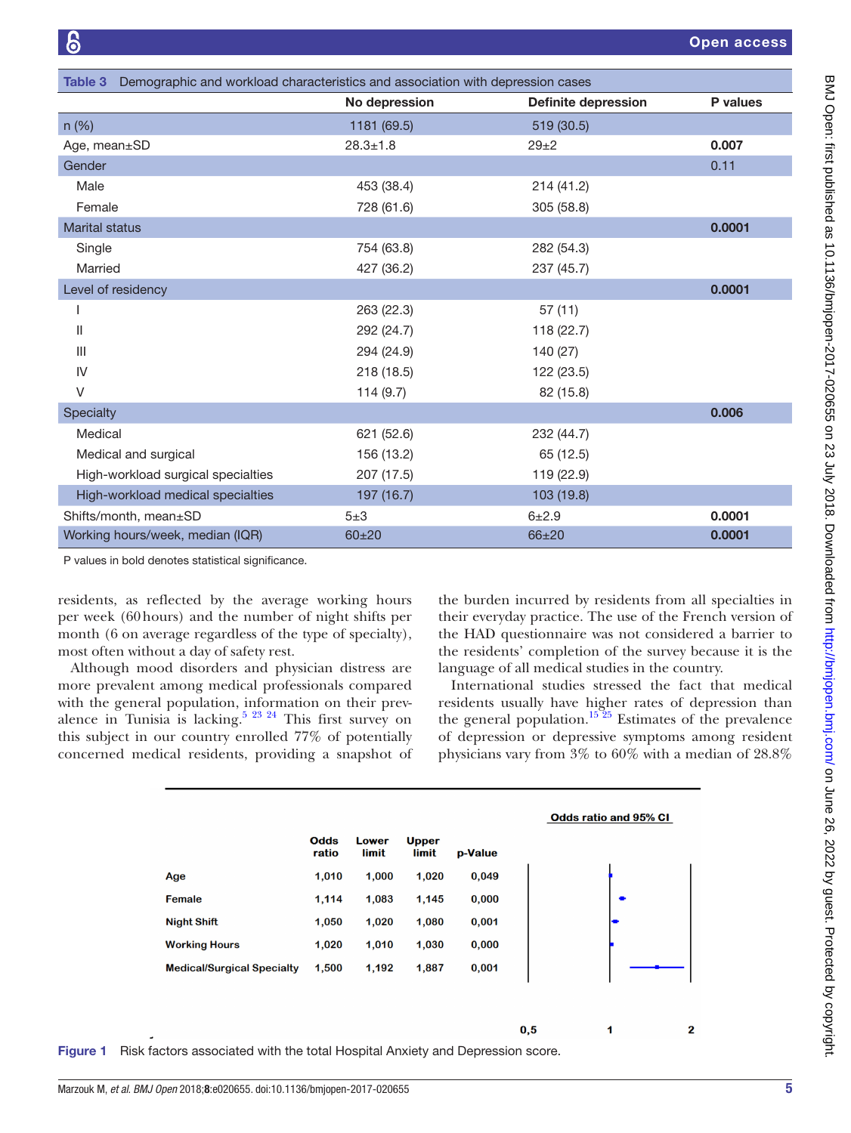<span id="page-4-0"></span>

| Table 3 Demographic and workload characteristics and association with depression cases |                |                            |          |  |
|----------------------------------------------------------------------------------------|----------------|----------------------------|----------|--|
|                                                                                        | No depression  | <b>Definite depression</b> | P values |  |
| $n$ (%)                                                                                | 1181 (69.5)    | 519 (30.5)                 |          |  |
| Age, mean±SD                                                                           | $28.3 \pm 1.8$ | $29+2$                     | 0.007    |  |
| Gender                                                                                 |                |                            | 0.11     |  |
| Male                                                                                   | 453 (38.4)     | 214 (41.2)                 |          |  |
| Female                                                                                 | 728 (61.6)     | 305 (58.8)                 |          |  |
| <b>Marital status</b>                                                                  |                |                            | 0.0001   |  |
| Single                                                                                 | 754 (63.8)     | 282 (54.3)                 |          |  |
| Married                                                                                | 427 (36.2)     | 237 (45.7)                 |          |  |
| Level of residency                                                                     |                |                            | 0.0001   |  |
|                                                                                        | 263 (22.3)     | 57(11)                     |          |  |
| $\mathsf{II}$                                                                          | 292 (24.7)     | 118(22.7)                  |          |  |
| $\mathbf{III}$                                                                         | 294 (24.9)     | 140 (27)                   |          |  |
| IV                                                                                     | 218 (18.5)     | 122 (23.5)                 |          |  |
| V                                                                                      | 114(9.7)       | 82 (15.8)                  |          |  |
| Specialty                                                                              |                |                            | 0.006    |  |
| Medical                                                                                | 621 (52.6)     | 232 (44.7)                 |          |  |
| Medical and surgical                                                                   | 156 (13.2)     | 65 (12.5)                  |          |  |
| High-workload surgical specialties                                                     | 207 (17.5)     | 119 (22.9)                 |          |  |
| High-workload medical specialties                                                      | 197 (16.7)     | 103 (19.8)                 |          |  |
| Shifts/month, mean±SD                                                                  | $5\pm3$        | $6 + 2.9$                  | 0.0001   |  |
| Working hours/week, median (IQR)                                                       | $60 + 20$      | 66±20                      | 0.0001   |  |

P values in bold denotes statistical significance.

residents, as reflected by the average working hours per week (60hours) and the number of night shifts per month (6 on average regardless of the type of specialty), most often without a day of safety rest.

Although mood disorders and physician distress are more prevalent among medical professionals compared with the general population, information on their prevalence in Tunisia is lacking.<sup>5 23 24</sup> This first survey on this subject in our country enrolled 77% of potentially concerned medical residents, providing a snapshot of

the burden incurred by residents from all specialties in their everyday practice. The use of the French version of the HAD questionnaire was not considered a barrier to the residents' completion of the survey because it is the language of all medical studies in the country.

International studies stressed the fact that medical residents usually have higher rates of depression than the general population.<sup>15 25</sup> Estimates of the prevalence of depression or depressive symptoms among resident physicians vary from 3% to 60% with a median of 28.8%

1



 $0,5$ 

<span id="page-4-1"></span>Figure 1 Risk factors associated with the total Hospital Anxiety and Depression score.

 $\overline{\mathbf{2}}$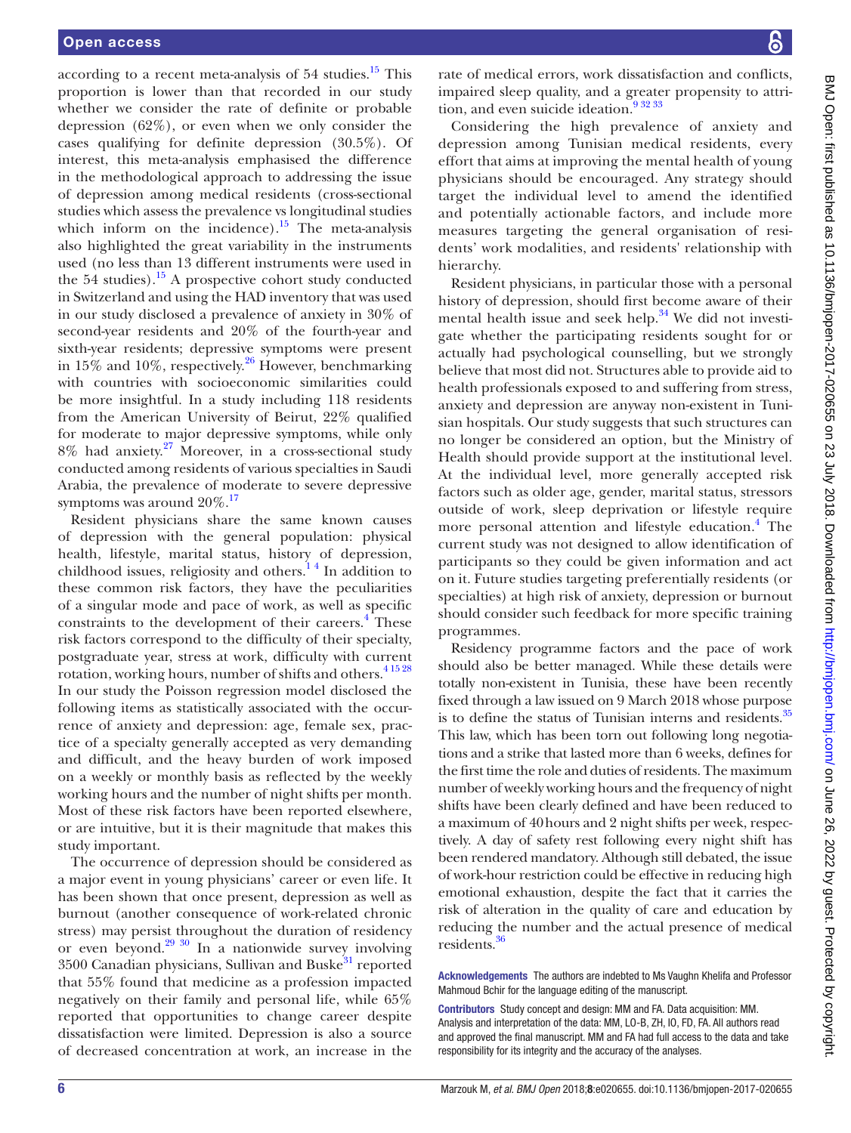according to a recent meta-analysis of 54 studies.<sup>15</sup> This proportion is lower than that recorded in our study whether we consider the rate of definite or probable depression (62%), or even when we only consider the cases qualifying for definite depression (30.5%). Of interest, this meta-analysis emphasised the difference in the methodological approach to addressing the issue of depression among medical residents (cross-sectional studies which assess the prevalence vs longitudinal studies which inform on the incidence).<sup>15</sup> The meta-analysis also highlighted the great variability in the instruments used (no less than 13 different instruments were used in the 54 studies).<sup>15</sup> A prospective cohort study conducted in Switzerland and using the HAD inventory that was used in our study disclosed a prevalence of anxiety in 30% of second-year residents and 20% of the fourth-year and sixth-year residents; depressive symptoms were present in 15% and 10%, respectively.<sup>[26](#page-6-11)</sup> However, benchmarking with countries with socioeconomic similarities could be more insightful. In a study including 118 residents from the American University of Beirut, 22% qualified for moderate to major depressive symptoms, while only 8% had anxiety.[27](#page-6-12) Moreover, in a cross-sectional study conducted among residents of various specialties in Saudi Arabia, the prevalence of moderate to severe depressive symptoms was around  $20\%$ .<sup>[17](#page-6-13)</sup>

Resident physicians share the same known causes of depression with the general population: physical health, lifestyle, marital status, history of depression, childhood issues, religiosity and others[.1 4](#page-6-0) In addition to these common risk factors, they have the peculiarities of a singular mode and pace of work, as well as specific constraints to the development of their careers.<sup>[4](#page-6-14)</sup> These risk factors correspond to the difficulty of their specialty, postgraduate year, stress at work, difficulty with current rotation, working hours, number of shifts and others.<sup>41528</sup> In our study the Poisson regression model disclosed the following items as statistically associated with the occurrence of anxiety and depression: age, female sex, practice of a specialty generally accepted as very demanding and difficult, and the heavy burden of work imposed on a weekly or monthly basis as reflected by the weekly working hours and the number of night shifts per month. Most of these risk factors have been reported elsewhere, or are intuitive, but it is their magnitude that makes this study important.

The occurrence of depression should be considered as a major event in young physicians' career or even life. It has been shown that once present, depression as well as burnout (another consequence of work-related chronic stress) may persist throughout the duration of residency or even beyond.<sup>29 30</sup> In a nationwide survey involving  $3500$  Canadian physicians, Sullivan and Buske $31$  reported that 55% found that medicine as a profession impacted negatively on their family and personal life, while 65% reported that opportunities to change career despite dissatisfaction were limited. Depression is also a source of decreased concentration at work, an increase in the

rate of medical errors, work dissatisfaction and conflicts, impaired sleep quality, and a greater propensity to attrition, and even suicide ideation.<sup>9 32 33</sup>

Considering the high prevalence of anxiety and depression among Tunisian medical residents, every effort that aims at improving the mental health of young physicians should be encouraged. Any strategy should target the individual level to amend the identified and potentially actionable factors, and include more measures targeting the general organisation of residents' work modalities, and residents' relationship with hierarchy.

Resident physicians, in particular those with a personal history of depression, should first become aware of their mental health issue and seek help. $34$  We did not investigate whether the participating residents sought for or actually had psychological counselling, but we strongly believe that most did not. Structures able to provide aid to health professionals exposed to and suffering from stress, anxiety and depression are anyway non-existent in Tunisian hospitals. Our study suggests that such structures can no longer be considered an option, but the Ministry of Health should provide support at the institutional level. At the individual level, more generally accepted risk factors such as older age, gender, marital status, stressors outside of work, sleep deprivation or lifestyle require more personal attention and lifestyle education.<sup>[4](#page-6-14)</sup> The current study was not designed to allow identification of participants so they could be given information and act on it. Future studies targeting preferentially residents (or specialties) at high risk of anxiety, depression or burnout should consider such feedback for more specific training programmes.

Residency programme factors and the pace of work should also be better managed. While these details were totally non-existent in Tunisia, these have been recently fixed through a law issued on 9 March 2018 whose purpose is to define the status of Tunisian interns and residents.<sup>35</sup> This law, which has been torn out following long negotiations and a strike that lasted more than 6 weeks, defines for the first time the role and duties of residents. The maximum number of weekly working hours and the frequency of night shifts have been clearly defined and have been reduced to a maximum of 40hours and 2 night shifts per week, respectively. A day of safety rest following every night shift has been rendered mandatory. Although still debated, the issue of work-hour restriction could be effective in reducing high emotional exhaustion, despite the fact that it carries the risk of alteration in the quality of care and education by reducing the number and the actual presence of medical residents[.36](#page-6-19)

Acknowledgements The authors are indebted to Ms Vaughn Khelifa and Professor Mahmoud Bchir for the language editing of the manuscript.

Contributors Study concept and design: MM and FA. Data acquisition: MM. Analysis and interpretation of the data: MM, LO-B, ZH, IO, FD, FA. All authors read and approved the final manuscript. MM and FA had full access to the data and take responsibility for its integrity and the accuracy of the analyses.